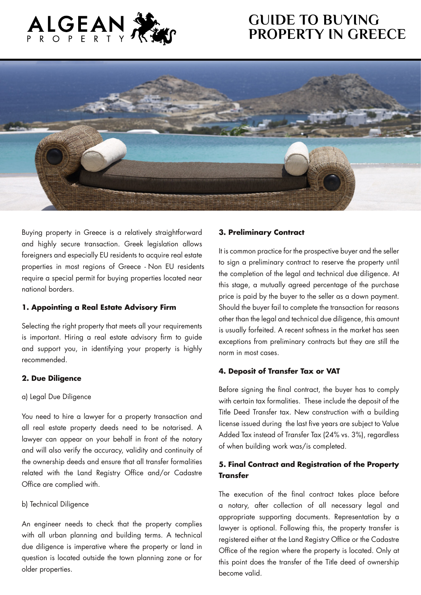# **GUIDE TO BUYING PROPERTY IN GREECE**





Buying property in Greece is a relatively straightforward and highly secure transaction. Greek legislation allows foreigners and especially EU residents to acquire real estate properties in most regions of Greece - Non EU residents require a special permit for buying properties located near national borders.

#### **1. Appointing a Real Estate Advisory Firm**

Selecting the right property that meets all your requirements is important. Hiring a real estate advisory firm to guide and support you, in identifying your property is highly recommended.

### **2. Due Diligence**

#### a) Legal Due Diligence

You need to hire a lawyer for a property transaction and all real estate property deeds need to be notarised. A lawyer can appear on your behalf in front of the notary and will also verify the accuracy, validity and continuity of the ownership deeds and ensure that all transfer formalities related with the Land Registry Office and/or Cadastre Office are complied with.

#### b) Technical Diligence

An engineer needs to check that the property complies with all urban planning and building terms. A technical due diligence is imperative where the property or land in question is located outside the town planning zone or for older properties.

#### **3. Preliminary Contract**

It is common practice for the prospective buyer and the seller to sign a preliminary contract to reserve the property until the completion of the legal and technical due diligence. At this stage, a mutually agreed percentage of the purchase price is paid by the buyer to the seller as a down payment. Should the buyer fail to complete the transaction for reasons other than the legal and technical due diligence, this amount is usually forfeited. A recent softness in the market has seen exceptions from preliminary contracts but they are still the norm in most cases.

### **4. Deposit of Transfer Tax or VAT**

Before signing the final contract, the buyer has to comply with certain tax formalities. These include the deposit of the Title Deed Transfer tax. New construction with a building license issued during the last five years are subject to Value Added Tax instead of Transfer Tax (24% vs. 3%), regardless of when building work was/is completed.

## **5. Final Contract and Registration of the Property Transfer**

The execution of the final contract takes place before a notary, after collection of all necessary legal and appropriate supporting documents. Representation by a lawyer is optional. Following this, the property transfer is registered either at the Land Registry Office or the Cadastre Office of the region where the property is located. Only at this point does the transfer of the Title deed of ownership become valid.